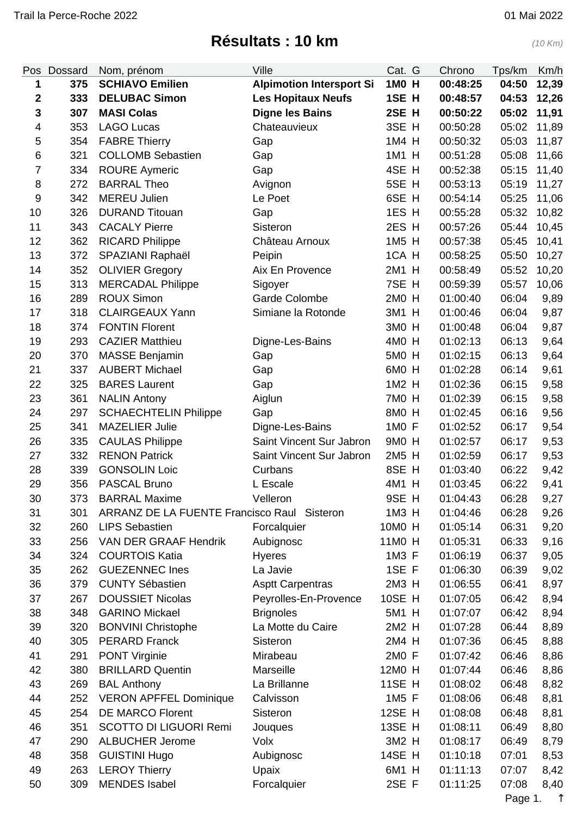## **Résultats : 10 km** (10 Km)

<span id="page-0-0"></span>

| Pos              | Dossard | Nom, prénom                                 | Ville                           | Cat. G           | Chrono   | Tps/km | Km/h  |
|------------------|---------|---------------------------------------------|---------------------------------|------------------|----------|--------|-------|
| 1                | 375     | <b>SCHIAVO Emilien</b>                      | <b>Alpimotion Intersport Si</b> | 1M0 H            | 00:48:25 | 04:50  | 12,39 |
| $\boldsymbol{2}$ | 333     | <b>DELUBAC Simon</b>                        | <b>Les Hopitaux Neufs</b>       | 1SE H            | 00:48:57 | 04:53  | 12,26 |
| 3                | 307     | <b>MASI Colas</b>                           | <b>Digne les Bains</b>          | 2SE H            | 00:50:22 | 05:02  | 11,91 |
| 4                | 353     | <b>LAGO Lucas</b>                           | Chateauvieux                    | 3SE H            | 00:50:28 | 05:02  | 11,89 |
| 5                | 354     | <b>FABRE Thierry</b>                        | Gap                             | 1M4 H            | 00:50:32 | 05:03  | 11,87 |
| $\,6$            | 321     | <b>COLLOMB Sebastien</b>                    | Gap                             | 1M1 H            | 00:51:28 | 05:08  | 11,66 |
| $\overline{7}$   | 334     | <b>ROURE Aymeric</b>                        | Gap                             | 4SE H            | 00:52:38 | 05:15  | 11,40 |
| 8                | 272     | <b>BARRAL Theo</b>                          | Avignon                         | 5SE H            | 00:53:13 | 05:19  | 11,27 |
| $\boldsymbol{9}$ | 342     | <b>MEREU Julien</b>                         | Le Poet                         | 6SE H            | 00:54:14 | 05:25  | 11,06 |
| 10               | 326     | <b>DURAND Titouan</b>                       | Gap                             | 1ES <sub>H</sub> | 00:55:28 | 05:32  | 10,82 |
| 11               | 343     | <b>CACALY Pierre</b>                        | Sisteron                        | 2ES H            | 00:57:26 | 05:44  | 10,45 |
| 12               | 362     | <b>RICARD Philippe</b>                      | Château Arnoux                  | 1M5 H            | 00:57:38 | 05:45  | 10,41 |
| 13               | 372     | SPAZIANI Raphaël                            | Peipin                          | 1CA H            | 00:58:25 | 05:50  | 10,27 |
| 14               | 352     | <b>OLIVIER Gregory</b>                      | Aix En Provence                 | 2M1 H            | 00:58:49 | 05:52  | 10,20 |
| 15               | 313     | <b>MERCADAL Philippe</b>                    | Sigoyer                         | 7SE H            | 00:59:39 | 05:57  | 10,06 |
| 16               | 289     | <b>ROUX Simon</b>                           | <b>Garde Colombe</b>            | 2M0 H            | 01:00:40 | 06:04  | 9,89  |
| 17               | 318     | <b>CLAIRGEAUX Yann</b>                      | Simiane la Rotonde              | 3M1 H            | 01:00:46 | 06:04  | 9,87  |
| 18               | 374     | <b>FONTIN Florent</b>                       |                                 | 3MO H            | 01:00:48 | 06:04  | 9,87  |
| 19               | 293     | <b>CAZIER Matthieu</b>                      | Digne-Les-Bains                 | 4M0 H            | 01:02:13 | 06:13  | 9,64  |
| 20               | 370     | <b>MASSE Benjamin</b>                       | Gap                             | 5M0 H            | 01:02:15 | 06:13  | 9,64  |
| 21               | 337     | <b>AUBERT Michael</b>                       | Gap                             | 6M0 H            | 01:02:28 | 06:14  | 9,61  |
| 22               | 325     | <b>BARES Laurent</b>                        | Gap                             | 1M2 H            | 01:02:36 | 06:15  | 9,58  |
| 23               | 361     | <b>NALIN Antony</b>                         | Aiglun                          | 7M0 H            | 01:02:39 | 06:15  | 9,58  |
| 24               | 297     | <b>SCHAECHTELIN Philippe</b>                | Gap                             | 8MO H            | 01:02:45 | 06:16  | 9,56  |
| 25               | 341     | <b>MAZELIER Julie</b>                       | Digne-Les-Bains                 | 1M0 F            | 01:02:52 | 06:17  | 9,54  |
| 26               | 335     | <b>CAULAS Philippe</b>                      | Saint Vincent Sur Jabron        | 9M0 H            | 01:02:57 | 06:17  | 9,53  |
| 27               | 332     | <b>RENON Patrick</b>                        | Saint Vincent Sur Jabron        | 2M5 H            | 01:02:59 | 06:17  | 9,53  |
| 28               | 339     | <b>GONSOLIN Loic</b>                        | Curbans                         | 8SE H            | 01:03:40 | 06:22  | 9,42  |
| 29               | 356     | <b>PASCAL Bruno</b>                         | L Escale                        | 4M1 H            | 01:03:45 | 06:22  | 9,41  |
| 30               | 373     | <b>BARRAL Maxime</b>                        | Velleron                        | 9SE H            | 01:04:43 | 06:28  | 9,27  |
| 31               | 301     | ARRANZ DE LA FUENTE Francisco Raul Sisteron |                                 | 1M3 H            | 01:04:46 | 06:28  | 9,26  |
| 32               | 260     | <b>LIPS Sebastien</b>                       | Forcalquier                     | 10M0 H           | 01:05:14 | 06:31  | 9,20  |
| 33               | 256     | VAN DER GRAAF Hendrik                       | Aubignosc                       | 11M0 H           | 01:05:31 | 06:33  | 9,16  |
| 34               | 324     | <b>COURTOIS Katia</b>                       | <b>Hyeres</b>                   | 1M3 F            | 01:06:19 | 06:37  | 9,05  |
| 35               | 262     | <b>GUEZENNEC Ines</b>                       | La Javie                        | 1SE F            | 01:06:30 | 06:39  | 9,02  |
| 36               | 379     | <b>CUNTY Sébastien</b>                      | <b>Asptt Carpentras</b>         | 2M3 H            | 01:06:55 | 06:41  | 8,97  |
| 37               | 267     | <b>DOUSSIET Nicolas</b>                     | Peyrolles-En-Provence           | <b>10SE H</b>    | 01:07:05 | 06:42  | 8,94  |
| 38               | 348     | <b>GARINO Mickael</b>                       | <b>Brignoles</b>                | 5M1 H            | 01:07:07 | 06:42  | 8,94  |
| 39               | 320     | <b>BONVINI Christophe</b>                   | La Motte du Caire               | 2M2 H            | 01:07:28 | 06:44  | 8,89  |
| 40               | 305     | <b>PERARD Franck</b>                        | Sisteron                        | 2M4 H            | 01:07:36 | 06:45  | 8,88  |
| 41               | 291     | <b>PONT Virginie</b>                        | Mirabeau                        | 2M0 F            | 01:07:42 | 06:46  | 8,86  |
| 42               | 380     | <b>BRILLARD Quentin</b>                     | Marseille                       | 12M0 H           | 01:07:44 | 06:46  | 8,86  |
| 43               | 269     | <b>BAL Anthony</b>                          | La Brillanne                    | <b>11SE H</b>    | 01:08:02 | 06:48  | 8,82  |
| 44               | 252     | <b>VERON APFFEL Dominique</b>               | Calvisson                       | 1M5 F            | 01:08:06 | 06:48  | 8,81  |
| 45               | 254     | <b>DE MARCO Florent</b>                     | Sisteron                        | 12SE H           | 01:08:08 | 06:48  | 8,81  |
| 46               | 351     | <b>SCOTTO DI LIGUORI Remi</b>               | Jouques                         | 13SE H           | 01:08:11 | 06:49  | 8,80  |
| 47               | 290     | <b>ALBUCHER Jerome</b>                      | Volx                            | 3M2 H            | 01:08:17 | 06:49  | 8,79  |
| 48               | 358     | <b>GUISTINI Hugo</b>                        | Aubignosc                       | 14SE H           | 01:10:18 | 07:01  | 8,53  |
| 49               | 263     | <b>LEROY Thierry</b>                        | Upaix                           | 6M1 H            | 01:11:13 | 07:07  | 8,42  |
| 50               | 309     | <b>MENDES</b> Isabel                        | Forcalquier                     | 2SE F            | 01:11:25 | 07:08  | 8,40  |

Page 1. ↑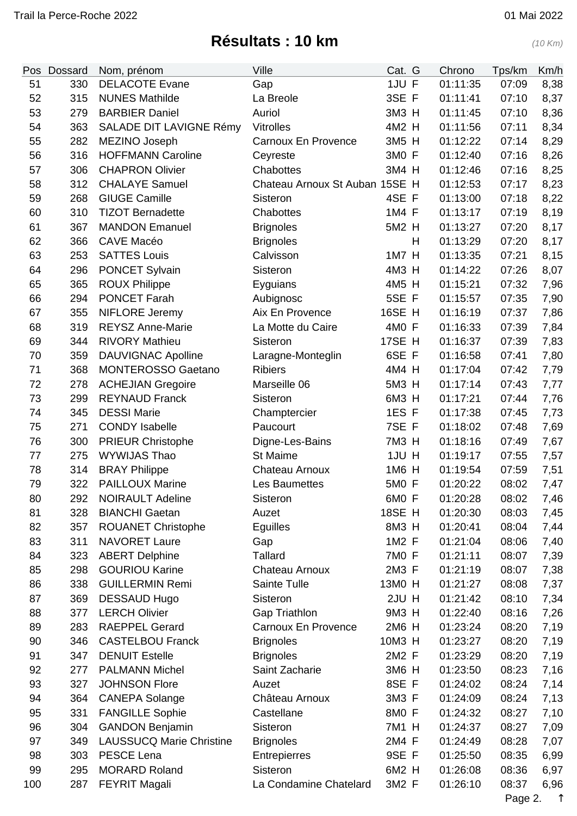## **Résultats : 10 km** (10 Km)

| Pos | <b>Dossard</b> | Nom, prénom                     | Ville                          | Cat. G        |   | Chrono   | Tps/km | Km/h |
|-----|----------------|---------------------------------|--------------------------------|---------------|---|----------|--------|------|
| 51  | 330            | <b>DELACOTE Evane</b>           | Gap                            | 1JU F         |   | 01:11:35 | 07:09  | 8,38 |
| 52  | 315            | <b>NUNES Mathilde</b>           | La Breole                      | 3SE F         |   | 01:11:41 | 07:10  | 8,37 |
| 53  | 279            | <b>BARBIER Daniel</b>           | Auriol                         | 3M3 H         |   | 01:11:45 | 07:10  | 8,36 |
| 54  | 363            | SALADE DIT LAVIGNE Rémy         | <b>Vitrolles</b>               | 4M2 H         |   | 01:11:56 | 07:11  | 8,34 |
| 55  | 282            | MEZINO Joseph                   | Carnoux En Provence            | 3M5 H         |   | 01:12:22 | 07:14  | 8,29 |
| 56  | 316            | <b>HOFFMANN Caroline</b>        | Ceyreste                       | 3MO F         |   | 01:12:40 | 07:16  | 8,26 |
| 57  | 306            | <b>CHAPRON Olivier</b>          | Chabottes                      | 3M4 H         |   | 01:12:46 | 07:16  | 8,25 |
| 58  | 312            | <b>CHALAYE Samuel</b>           | Chateau Arnoux St Auban 15SE H |               |   | 01:12:53 | 07:17  | 8,23 |
| 59  | 268            | <b>GIUGE Camille</b>            | Sisteron                       | 4SE F         |   | 01:13:00 | 07:18  | 8,22 |
| 60  | 310            | <b>TIZOT Bernadette</b>         | Chabottes                      | 1M4 F         |   | 01:13:17 | 07:19  | 8,19 |
| 61  | 367            | <b>MANDON Emanuel</b>           | <b>Brignoles</b>               | 5M2 H         |   | 01:13:27 | 07:20  | 8,17 |
| 62  | 366            | <b>CAVE Macéo</b>               | <b>Brignoles</b>               |               | H | 01:13:29 | 07:20  | 8,17 |
| 63  | 253            | <b>SATTES Louis</b>             | Calvisson                      | 1M7 H         |   | 01:13:35 | 07:21  | 8,15 |
| 64  | 296            | <b>PONCET Sylvain</b>           | Sisteron                       | 4M3 H         |   | 01:14:22 | 07:26  | 8,07 |
| 65  | 365            | <b>ROUX Philippe</b>            | Eyguians                       | 4M5 H         |   | 01:15:21 | 07:32  | 7,96 |
| 66  | 294            | <b>PONCET Farah</b>             | Aubignosc                      | 5SE F         |   | 01:15:57 | 07:35  | 7,90 |
| 67  | 355            | <b>NIFLORE Jeremy</b>           | Aix En Provence                | 16SE H        |   | 01:16:19 | 07:37  | 7,86 |
| 68  | 319            | <b>REYSZ Anne-Marie</b>         | La Motte du Caire              | 4M0 F         |   | 01:16:33 | 07:39  | 7,84 |
| 69  | 344            | <b>RIVORY Mathieu</b>           | Sisteron                       | 17SE H        |   | 01:16:37 | 07:39  | 7,83 |
| 70  | 359            | <b>DAUVIGNAC Apolline</b>       | Laragne-Monteglin              | 6SE F         |   | 01:16:58 | 07:41  | 7,80 |
| 71  | 368            | <b>MONTEROSSO Gaetano</b>       | <b>Ribiers</b>                 | 4M4 H         |   | 01:17:04 | 07:42  | 7,79 |
| 72  | 278            | <b>ACHEJIAN Gregoire</b>        | Marseille 06                   | 5M3 H         |   | 01:17:14 | 07:43  | 7,77 |
| 73  | 299            | <b>REYNAUD Franck</b>           | Sisteron                       | 6M3 H         |   | 01:17:21 | 07:44  | 7,76 |
| 74  | 345            | <b>DESSI Marie</b>              | Champtercier                   | 1ES F         |   | 01:17:38 | 07:45  | 7,73 |
| 75  | 271            | <b>CONDY Isabelle</b>           | Paucourt                       | 7SE F         |   | 01:18:02 | 07:48  | 7,69 |
| 76  | 300            | <b>PRIEUR Christophe</b>        | Digne-Les-Bains                | 7M3 H         |   | 01:18:16 | 07:49  | 7,67 |
| 77  | 275            | WYWIJAS Thao                    | St Maime                       | 1JU H         |   | 01:19:17 | 07:55  | 7,57 |
| 78  | 314            | <b>BRAY Philippe</b>            | Chateau Arnoux                 | 1M6 H         |   | 01:19:54 | 07:59  | 7,51 |
| 79  | 322            | <b>PAILLOUX Marine</b>          | Les Baumettes                  | 5M0 F         |   | 01:20:22 | 08:02  | 7,47 |
| 80  | 292            | <b>NOIRAULT Adeline</b>         | Sisteron                       | 6MO F         |   | 01:20:28 | 08:02  | 7,46 |
| 81  | 328            | <b>BIANCHI Gaetan</b>           | Auzet                          | <b>18SE H</b> |   | 01:20:30 | 08:03  | 7,45 |
| 82  | 357            | <b>ROUANET Christophe</b>       | Eguilles                       | 8M3 H         |   | 01:20:41 | 08:04  | 7,44 |
| 83  | 311            | <b>NAVORET Laure</b>            | Gap                            | 1M2 F         |   | 01:21:04 | 08:06  | 7,40 |
| 84  | 323            | <b>ABERT Delphine</b>           | <b>Tallard</b>                 | 7M0 F         |   | 01:21:11 | 08:07  | 7,39 |
| 85  | 298            | <b>GOURIOU Karine</b>           | Chateau Arnoux                 | 2M3 F         |   | 01:21:19 | 08:07  | 7,38 |
| 86  | 338            | <b>GUILLERMIN Remi</b>          | Sainte Tulle                   | 13M0 H        |   | 01:21:27 | 08:08  | 7,37 |
| 87  | 369            | <b>DESSAUD Hugo</b>             | Sisteron                       | 2JU H         |   | 01:21:42 | 08:10  | 7,34 |
| 88  | 377            | <b>LERCH Olivier</b>            | <b>Gap Triathlon</b>           | 9M3 H         |   | 01:22:40 | 08:16  | 7,26 |
| 89  | 283            | <b>RAEPPEL Gerard</b>           | Carnoux En Provence            | 2M6 H         |   | 01:23:24 | 08:20  | 7,19 |
| 90  | 346            | <b>CASTELBOU Franck</b>         | <b>Brignoles</b>               | 10M3 H        |   | 01:23:27 | 08:20  | 7,19 |
| 91  | 347            | <b>DENUIT Estelle</b>           | <b>Brignoles</b>               | 2M2 F         |   | 01:23:29 | 08:20  | 7,19 |
| 92  | 277            | <b>PALMANN Michel</b>           | Saint Zacharie                 | 3M6 H         |   | 01:23:50 | 08:23  | 7,16 |
| 93  | 327            | <b>JOHNSON Flore</b>            | Auzet                          | 8SE F         |   | 01:24:02 | 08:24  | 7,14 |
| 94  | 364            | <b>CANEPA Solange</b>           | Château Arnoux                 | 3M3 F         |   | 01:24:09 | 08:24  | 7,13 |
| 95  | 331            | <b>FANGILLE Sophie</b>          | Castellane                     | 8MO F         |   | 01:24:32 | 08:27  | 7,10 |
| 96  | 304            | <b>GANDON Benjamin</b>          | Sisteron                       | 7M1 H         |   | 01:24:37 | 08:27  | 7,09 |
| 97  | 349            | <b>LAUSSUCQ Marie Christine</b> | <b>Brignoles</b>               | 2M4 F         |   | 01:24:49 | 08:28  | 7,07 |
| 98  | 303            | PESCE Lena                      | Entrepierres                   | 9SE F         |   | 01:25:50 | 08:35  | 6,99 |
| 99  | 295            | <b>MORARD Roland</b>            | Sisteron                       | 6M2 H         |   | 01:26:08 | 08:36  | 6,97 |
| 100 | 287            | <b>FEYRIT Magali</b>            | La Condamine Chatelard         | 3M2 F         |   | 01:26:10 | 08:37  | 6,96 |
|     |                |                                 |                                |               |   |          |        |      |

Page 2. [↑](#page-0-0)